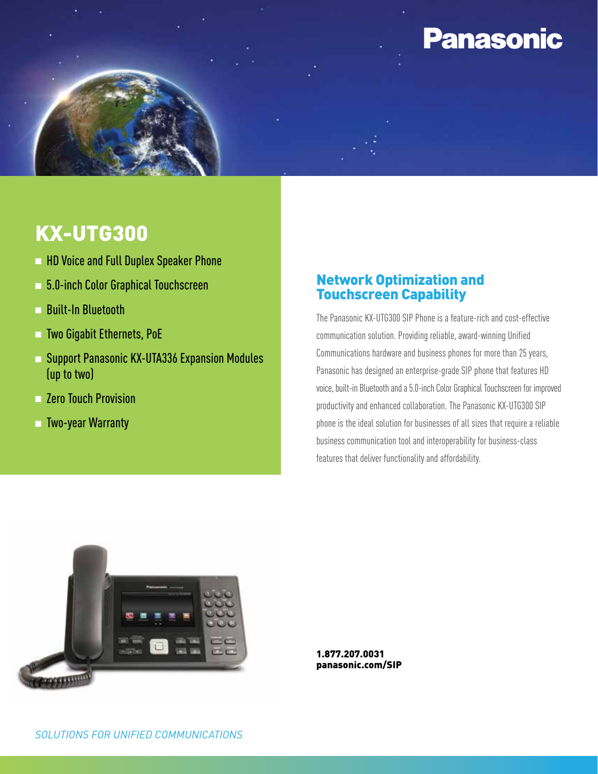# **Panasonic**

## KX-UTG300

- **n HD Voice and Full Duplex Speaker Phone**
- <sup>n</sup> 5.0-inch Color Graphical Touchscreen
- n Built-In Bluetooth
- <sup>n</sup> Two Gigabit Ethernets, PoE
- <sup>n</sup> Support Panasonic KX-UTA336 Expansion Modules (up to two)
- **n** Zero Touch Provision
- n Two-year Warranty

#### Network Optimization and Touchscreen Capability

The Panasonic KX-UTG300 SIP Phone is a feature-rich and cost-effective communication solution. Providing reliable, award-winning Unified Communications hardware and business phones for more than 25 years, Panasonic has designed an enterprise-grade SIP phone that features HD voice, built-in Bluetooth and a 5.0-inch Color Graphical Touchscreen for improved productivity and enhanced collaboration. The Panasonic KX-UTG300 SIP phone is the ideal solution for businesses of all sizes that require a reliable business communication tool and interoperability for business-class features that deliver functionality and affordability.



1.877.207.0031 panasonic.com/SIP